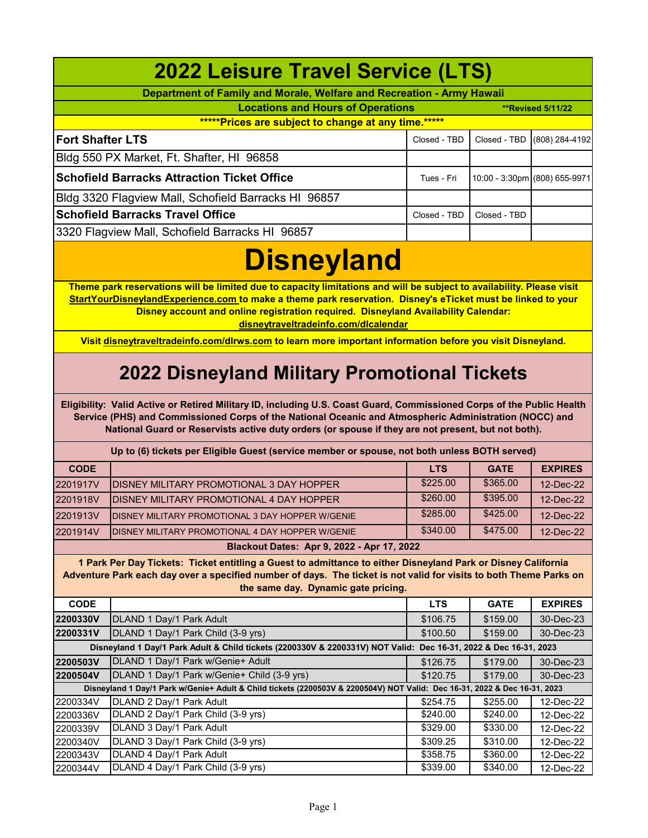| <b>2022 Leisure Travel Service (LTS)</b>                                                                                                                                                                                                                                                                                                                           |                                                                                                                           |                      |                      |                               |  |  |  |
|--------------------------------------------------------------------------------------------------------------------------------------------------------------------------------------------------------------------------------------------------------------------------------------------------------------------------------------------------------------------|---------------------------------------------------------------------------------------------------------------------------|----------------------|----------------------|-------------------------------|--|--|--|
|                                                                                                                                                                                                                                                                                                                                                                    | Department of Family and Morale, Welfare and Recreation - Army Hawaii                                                     |                      |                      |                               |  |  |  |
| <b>Locations and Hours of Operations</b>                                                                                                                                                                                                                                                                                                                           |                                                                                                                           |                      |                      | <b>**Revised 5/11/22</b>      |  |  |  |
| ****** Prices are subject to change at any time.*****                                                                                                                                                                                                                                                                                                              |                                                                                                                           |                      |                      |                               |  |  |  |
| <b>Fort Shafter LTS</b>                                                                                                                                                                                                                                                                                                                                            |                                                                                                                           | Closed - TBD         | Closed - TBD         | (808) 284-4192                |  |  |  |
|                                                                                                                                                                                                                                                                                                                                                                    | Bldg 550 PX Market, Ft. Shafter, HI 96858                                                                                 |                      |                      |                               |  |  |  |
|                                                                                                                                                                                                                                                                                                                                                                    |                                                                                                                           |                      |                      |                               |  |  |  |
|                                                                                                                                                                                                                                                                                                                                                                    | <b>Schofield Barracks Attraction Ticket Office</b><br>Tues - Fri                                                          |                      |                      | 10:00 - 3:30pm (808) 655-9971 |  |  |  |
| Bldg 3320 Flagview Mall, Schofield Barracks HI 96857                                                                                                                                                                                                                                                                                                               |                                                                                                                           |                      |                      |                               |  |  |  |
|                                                                                                                                                                                                                                                                                                                                                                    | <b>Schofield Barracks Travel Office</b>                                                                                   | Closed - TBD         | Closed - TBD         |                               |  |  |  |
|                                                                                                                                                                                                                                                                                                                                                                    | 3320 Flagview Mall, Schofield Barracks HI 96857                                                                           |                      |                      |                               |  |  |  |
|                                                                                                                                                                                                                                                                                                                                                                    | <b>Disneyland</b>                                                                                                         |                      |                      |                               |  |  |  |
| Theme park reservations will be limited due to capacity limitations and will be subject to availability. Please visit<br>StartYourDisneylandExperience.com to make a theme park reservation. Disney's eTicket must be linked to your<br>Disney account and online registration required. Disneyland Availability Calendar:<br>disneytraveltradeinfo.com/dlcalendar |                                                                                                                           |                      |                      |                               |  |  |  |
|                                                                                                                                                                                                                                                                                                                                                                    | Visit disneytraveltradeinfo.com/dlrws.com to learn more important information before you visit Disneyland.                |                      |                      |                               |  |  |  |
|                                                                                                                                                                                                                                                                                                                                                                    |                                                                                                                           |                      |                      |                               |  |  |  |
|                                                                                                                                                                                                                                                                                                                                                                    | <b>2022 Disneyland Military Promotional Tickets</b>                                                                       |                      |                      |                               |  |  |  |
| Eligibility: Valid Active or Retired Military ID, including U.S. Coast Guard, Commissioned Corps of the Public Health<br>Service (PHS) and Commissioned Corps of the National Oceanic and Atmospheric Administration (NOCC) and<br>National Guard or Reservists active duty orders (or spouse if they are not present, but not both).                              |                                                                                                                           |                      |                      |                               |  |  |  |
|                                                                                                                                                                                                                                                                                                                                                                    | Up to (6) tickets per Eligible Guest (service member or spouse, not both unless BOTH served)                              |                      |                      |                               |  |  |  |
| <b>CODE</b>                                                                                                                                                                                                                                                                                                                                                        |                                                                                                                           | <b>LTS</b>           | <b>GATE</b>          | <b>EXPIRES</b>                |  |  |  |
| 2201917V                                                                                                                                                                                                                                                                                                                                                           | DISNEY MILITARY PROMOTIONAL 3 DAY HOPPER                                                                                  | \$225.00             | \$365.00             | 12-Dec-22                     |  |  |  |
| 2201918V                                                                                                                                                                                                                                                                                                                                                           | DISNEY MILITARY PROMOTIONAL 4 DAY HOPPER                                                                                  | \$260.00             | \$395.00             | 12-Dec-22                     |  |  |  |
| 2201913V                                                                                                                                                                                                                                                                                                                                                           | DISNEY MILITARY PROMOTIONAL 3 DAY HOPPER W/GENIE                                                                          | \$285.00             | \$425.00             | 12-Dec-22                     |  |  |  |
| 2201914V                                                                                                                                                                                                                                                                                                                                                           | DISNEY MILITARY PROMOTIONAL 4 DAY HOPPER W/GENIE                                                                          | \$340.00             | \$475.00             | 12-Dec-22                     |  |  |  |
|                                                                                                                                                                                                                                                                                                                                                                    | Blackout Dates: Apr 9, 2022 - Apr 17, 2022                                                                                |                      |                      |                               |  |  |  |
| 1 Park Per Day Tickets: Ticket entitling a Guest to admittance to either Disneyland Park or Disney California<br>Adventure Park each day over a specified number of days. The ticket is not valid for visits to both Theme Parks on<br>the same day. Dynamic gate pricing.                                                                                         |                                                                                                                           |                      |                      |                               |  |  |  |
| <b>CODE</b>                                                                                                                                                                                                                                                                                                                                                        |                                                                                                                           | <b>LTS</b>           | <b>GATE</b>          | <b>EXPIRES</b>                |  |  |  |
| 2200330V                                                                                                                                                                                                                                                                                                                                                           | DLAND 1 Day/1 Park Adult                                                                                                  | \$106.75             | \$159.00             | 30-Dec-23                     |  |  |  |
| 2200331V                                                                                                                                                                                                                                                                                                                                                           | DLAND 1 Day/1 Park Child (3-9 yrs)                                                                                        | \$100.50             | \$159.00             | 30-Dec-23                     |  |  |  |
|                                                                                                                                                                                                                                                                                                                                                                    | Disneyland 1 Day/1 Park Adult & Child tickets (2200330V & 2200331V) NOT Valid: Dec 16-31, 2022 & Dec 16-31, 2023          |                      |                      |                               |  |  |  |
| 2200503V                                                                                                                                                                                                                                                                                                                                                           | DLAND 1 Day/1 Park w/Genie+ Adult                                                                                         | \$126.75             | \$179.00             | 30-Dec-23                     |  |  |  |
| 2200504V                                                                                                                                                                                                                                                                                                                                                           | DLAND 1 Day/1 Park w/Genie+ Child (3-9 yrs)                                                                               | \$120.75             | \$179.00             | 30-Dec-23                     |  |  |  |
|                                                                                                                                                                                                                                                                                                                                                                    | Disneyland 1 Day/1 Park w/Genie+ Adult & Child tickets (2200503V & 2200504V) NOT Valid: Dec 16-31, 2022 & Dec 16-31, 2023 |                      |                      |                               |  |  |  |
| 2200334V                                                                                                                                                                                                                                                                                                                                                           | DLAND 2 Day/1 Park Adult                                                                                                  | \$254.75             | \$255.00             | 12-Dec-22                     |  |  |  |
| 2200336V                                                                                                                                                                                                                                                                                                                                                           | DLAND 2 Day/1 Park Child (3-9 yrs)                                                                                        | \$240.00             | \$240.00             | 12-Dec-22                     |  |  |  |
| 2200339V                                                                                                                                                                                                                                                                                                                                                           | DLAND 3 Day/1 Park Adult                                                                                                  | \$329.00             | \$330.00             | 12-Dec-22                     |  |  |  |
| 2200340V                                                                                                                                                                                                                                                                                                                                                           | DLAND 3 Day/1 Park Child (3-9 yrs)                                                                                        | \$309.25             | \$310.00             | 12-Dec-22                     |  |  |  |
| 2200343V<br>2200344V                                                                                                                                                                                                                                                                                                                                               | DLAND 4 Day/1 Park Adult<br>DLAND 4 Day/1 Park Child (3-9 yrs)                                                            | \$358.75<br>\$339.00 | \$360.00<br>\$340.00 | 12-Dec-22                     |  |  |  |
|                                                                                                                                                                                                                                                                                                                                                                    |                                                                                                                           |                      |                      | 12-Dec-22                     |  |  |  |